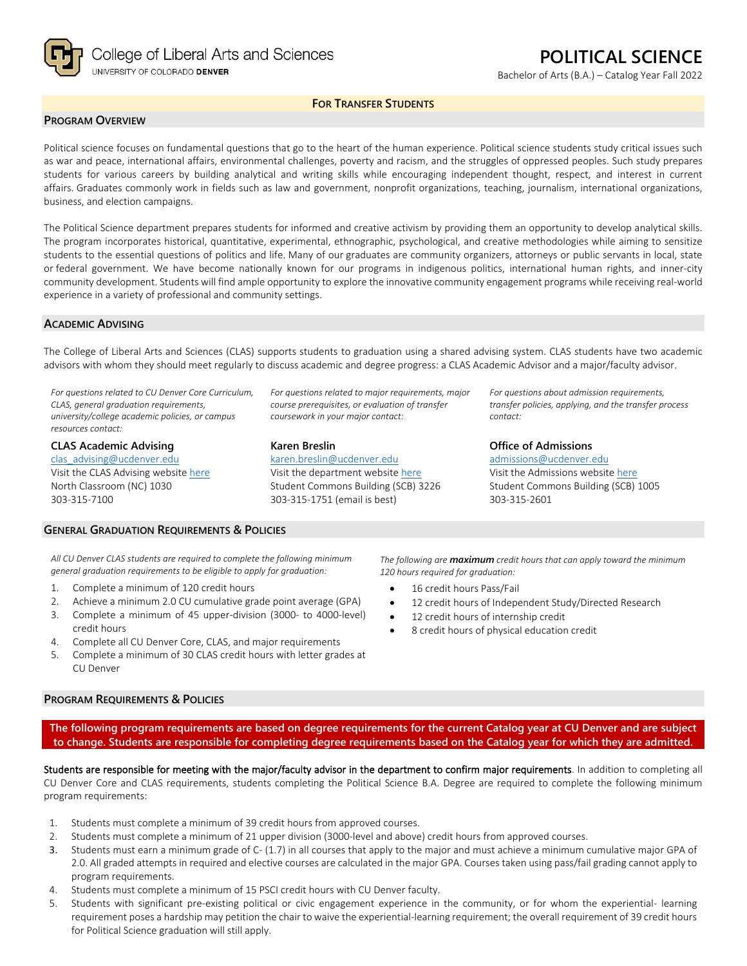

# **POLITICAL SCIENCE**

Bachelor of Arts (B.A.) – Catalog Year Fall 2022

### **FOR TRANSFER STUDENTS**

#### **PROGRAM OVERVIEW**

Political science focuses on fundamental questions that go to the heart of the human experience. Political science students study critical issues such as war and peace, international affairs, environmental challenges, poverty and racism, and the struggles of oppressed peoples. Such study prepares students for various careers by building analytical and writing skills while encouraging independent thought, respect, and interest in current affairs. Graduates commonly work in fields such as law and government, nonprofit organizations, teaching, journalism, international organizations, business, and election campaigns.

The Political Science department prepares students for informed and creative activism by providing them an opportunity to develop analytical skills. The program incorporates historical, quantitative, experimental, ethnographic, psychological, and creative methodologies while aiming to sensitize students to the essential questions of politics and life. Many of our graduates are community organizers, attorneys or public servants in local, state or federal government. We have become nationally known for our programs in indigenous politics, international human rights, and inner-city community development. Students will find ample opportunity to explore the innovative community engagement programs while receiving real-world experience in a variety of professional and community settings.

#### **ACADEMIC ADVISING**

The College of Liberal Arts and Sciences (CLAS) supports students to graduation using a shared advising system. CLAS students have two academic advisors with whom they should meet regularly to discuss academic and degree progress: a CLAS Academic Advisor and a major/faculty advisor.

*For questions related to CU Denver Core Curriculum, CLAS, general graduation requirements, university/college academic policies, or campus resources contact:*

**CLAS Academic Advising** [clas\\_advising@ucdenver.edu](mailto:clas_advising@ucdenver.edu)

Visit the CLAS Advising websit[e here](https://clas.ucdenver.edu/advising/) North Classroom (NC) 1030 303-315-7100

*For questions related to major requirements, major course prerequisites, or evaluation of transfer coursework in your major contact:*

#### **Karen Breslin**

[karen.breslin@ucdenver.edu](mailto:karen.breslin@ucdenver.edu) Visit the department website [here](https://clas.ucdenver.edu/polisci/) Student Commons Building (SCB) 3226 303-315-1751 (email is best)

*For questions about admission requirements, transfer policies, applying, and the transfer process contact:*

#### **Office of Admissions**

[admissions@ucdenver.edu](mailto:admissions@ucdenver.edu) Visit the Admissions website [here](http://www.ucdenver.edu/admissions/Pages/index.aspx) Student Commons Building (SCB) 1005 303-315-2601

# **GENERAL GRADUATION REQUIREMENTS & POLICIES**

*All CU Denver CLAS students are required to complete the following minimum general graduation requirements to be eligible to apply for graduation:*

- 1. Complete a minimum of 120 credit hours
- 2. Achieve a minimum 2.0 CU cumulative grade point average (GPA)
- 3. Complete a minimum of 45 upper-division (3000- to 4000-level)
- credit hours 4. Complete all CU Denver Core, CLAS, and major requirements
- 5. Complete a minimum of 30 CLAS credit hours with letter grades at CU Denver

#### **PROGRAM REQUIREMENTS & POLICIES**

*The following are maximum credit hours that can apply toward the minimum 120 hours required for graduation:*

- 16 credit hours Pass/Fail
- 12 credit hours of Independent Study/Directed Research
- 12 credit hours of internship credit
- 8 credit hours of physical education credit

**The following program requirements are based on degree requirements for the current Catalog year at CU Denver and are subject to change. Students are responsible for completing degree requirements based on the Catalog year for which they are admitted.**

Students are responsible for meeting with the major/faculty advisor in the department to confirm major requirements. In addition to completing all CU Denver Core and CLAS requirements, students completing the Political Science B.A. Degree are required to complete the following minimum program requirements:

- 1. Students must complete a minimum of 39 credit hours from approved courses.
- 2. Students must complete a minimum of 21 upper division (3000-level and above) credit hours from approved courses.
- 3. Students must earn a minimum grade of C- (1.7) in all courses that apply to the major and must achieve a minimum cumulative major GPA of 2.0. All graded attempts in required and elective courses are calculated in the major GPA. Courses taken using pass/fail grading cannot apply to program requirements.
- 4. Students must complete a minimum of 15 PSCI credit hours with CU Denver faculty.
- 5. Students with significant pre-existing political or civic engagement experience in the community, or for whom the experiential- learning requirement poses a hardship may petition the chair to waive the experiential-learning requirement; the overall requirement of 39 credit hours for Political Science graduation will still apply.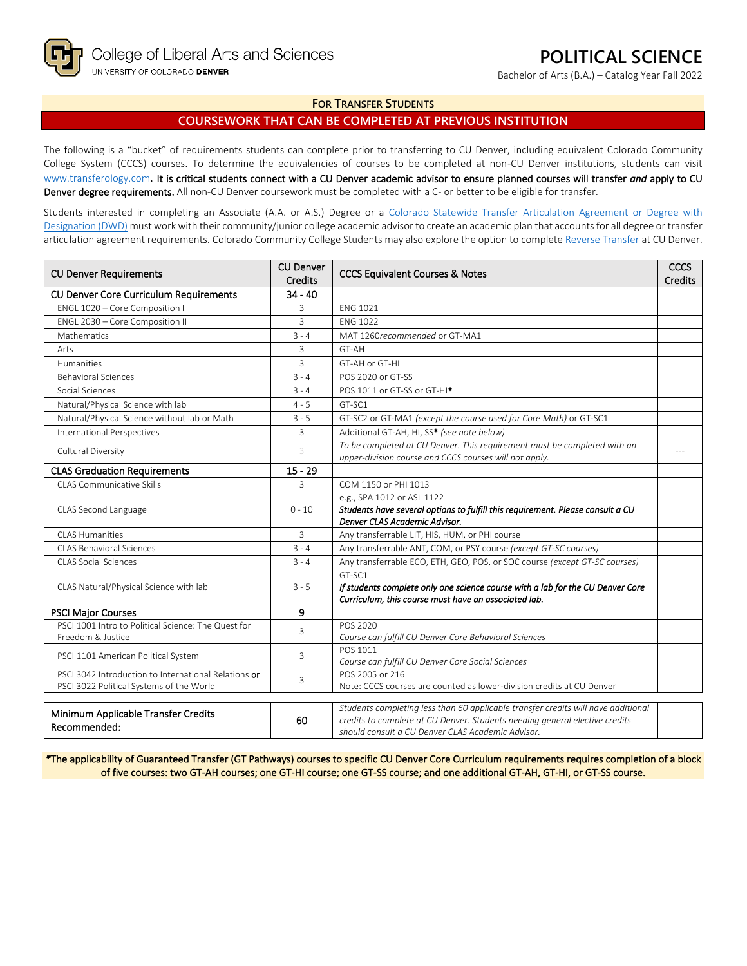Bachelor of Arts (B.A.) – Catalog Year Fall 2022

#### **FOR TRANSFER STUDENTS**

## **COURSEWORK THAT CAN BE COMPLETED AT PREVIOUS INSTITUTION**

The following is a "bucket" of requirements students can complete prior to transferring to CU Denver, including equivalent Colorado Community College System (CCCS) courses. To determine the equivalencies of courses to be completed at non-CU Denver institutions, students can visit [www.transferology.com](http://www.transferology.com/)**.** It is critical students connect with a CU Denver academic advisor to ensure planned courses will transfer *and* apply to CU Denver degree requirements. All non-CU Denver coursework must be completed with a C- or better to be eligible for transfer.

Students interested in completing an Associate (A.A. or A.S.) Degree or a Colorado Statewide Transfer Articulation Agreement or Degree with [Designation \(DWD\)](https://highered.colorado.gov/transfer-degrees) must work with their community/junior college academic advisor to create an academic plan that accounts for all degree or transfer articulation agreement requirements. Colorado Community College Students may also explore the option to complet[e Reverse Transfer](https://highered.colorado.gov/students/attending-college/colorado-reverse-transfer) at CU Denver.

| <b>CU Denver Requirements</b>                                            | <b>CU Denver</b><br><b>Credits</b> | <b>CCCS Equivalent Courses &amp; Notes</b>                                                                      | <b>CCCS</b><br>Credits |
|--------------------------------------------------------------------------|------------------------------------|-----------------------------------------------------------------------------------------------------------------|------------------------|
| <b>CU Denver Core Curriculum Requirements</b>                            | $34 - 40$                          |                                                                                                                 |                        |
| ENGL 1020 - Core Composition I                                           | 3                                  | <b>ENG 1021</b>                                                                                                 |                        |
| ENGL 2030 - Core Composition II                                          | 3                                  | <b>ENG 1022</b>                                                                                                 |                        |
| Mathematics                                                              | $3 - 4$                            | MAT 1260recommended or GT-MA1                                                                                   |                        |
| Arts                                                                     | 3                                  | GT-AH                                                                                                           |                        |
| Humanities                                                               | 3                                  | GT-AH or GT-HI                                                                                                  |                        |
| <b>Behavioral Sciences</b>                                               | $3 - 4$                            | POS 2020 or GT-SS                                                                                               |                        |
| Social Sciences                                                          | $3 - 4$                            | POS 1011 or GT-SS or GT-HI <sup>*</sup>                                                                         |                        |
| Natural/Physical Science with lab                                        | $4 - 5$                            | GT-SC1                                                                                                          |                        |
| Natural/Physical Science without lab or Math                             | $3 - 5$                            | GT-SC2 or GT-MA1 (except the course used for Core Math) or GT-SC1                                               |                        |
| <b>International Perspectives</b>                                        | 3                                  | Additional GT-AH, HI, SS* (see note below)                                                                      |                        |
| Cultural Diversity                                                       | 3                                  | To be completed at CU Denver. This requirement must be completed with an                                        |                        |
|                                                                          |                                    | upper-division course and CCCS courses will not apply.                                                          |                        |
| <b>CLAS Graduation Requirements</b>                                      | $15 - 29$                          |                                                                                                                 |                        |
| <b>CLAS Communicative Skills</b>                                         | 3                                  | COM 1150 or PHI 1013                                                                                            |                        |
|                                                                          | $0 - 10$                           | e.g., SPA 1012 or ASL 1122                                                                                      |                        |
| CLAS Second Language                                                     |                                    | Students have several options to fulfill this requirement. Please consult a CU<br>Denver CLAS Academic Advisor. |                        |
| <b>CLAS Humanities</b>                                                   | 3                                  | Any transferrable LIT, HIS, HUM, or PHI course                                                                  |                        |
| <b>CLAS Behavioral Sciences</b>                                          | $3 - 4$                            | Any transferrable ANT, COM, or PSY course (except GT-SC courses)                                                |                        |
| <b>CLAS Social Sciences</b>                                              | $3 - 4$                            | Any transferrable ECO, ETH, GEO, POS, or SOC course (except GT-SC courses)                                      |                        |
|                                                                          |                                    | GT-SC1                                                                                                          |                        |
| CLAS Natural/Physical Science with lab                                   | $3 - 5$                            | If students complete only one science course with a lab for the CU Denver Core                                  |                        |
|                                                                          |                                    | Curriculum, this course must have an associated lab.                                                            |                        |
| <b>PSCI Major Courses</b>                                                | 9                                  |                                                                                                                 |                        |
| PSCI 1001 Intro to Political Science: The Quest for<br>Freedom & Justice | 3                                  | POS 2020                                                                                                        |                        |
|                                                                          |                                    | Course can fulfill CU Denver Core Behavioral Sciences<br>POS 1011                                               |                        |
| 3<br>PSCI 1101 American Political System                                 |                                    | Course can fulfill CU Denver Core Social Sciences                                                               |                        |
| PSCI 3042 Introduction to International Relations or                     |                                    | POS 2005 or 216                                                                                                 |                        |
| 3<br>PSCI 3022 Political Systems of the World                            |                                    | Note: CCCS courses are counted as lower-division credits at CU Denver                                           |                        |
|                                                                          |                                    | Students completing less than 60 applicable transfer credits will have additional                               |                        |
| Minimum Applicable Transfer Credits                                      | 60                                 | credits to complete at CU Denver. Students needing general elective credits                                     |                        |
| Recommended:                                                             |                                    | should consult a CU Denver CLAS Academic Advisor.                                                               |                        |

*\**The applicability of Guaranteed Transfer (GT Pathways) courses to specific CU Denver Core Curriculum requirements requires completion of a block of five courses: two GT-AH courses; one GT-HI course; one GT-SS course; and one additional GT-AH, GT-HI, or GT-SS course.